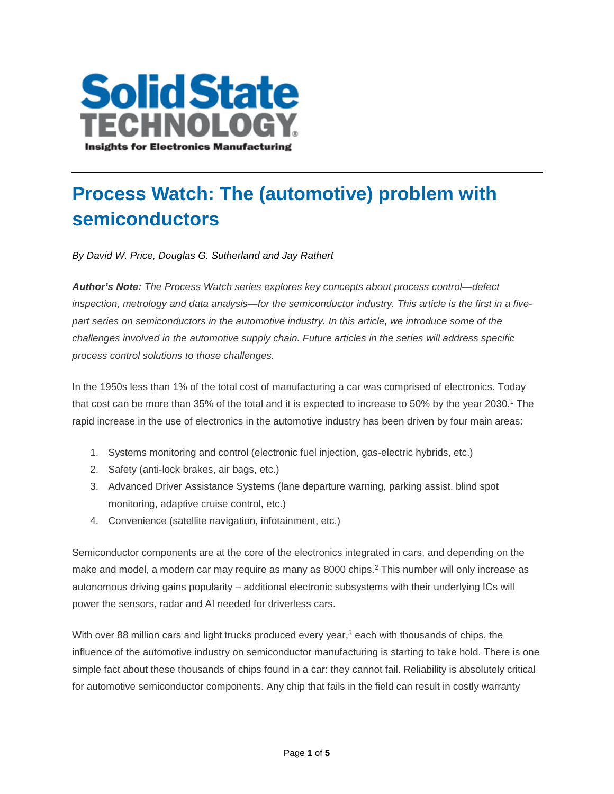

## **Process Watch: The (automotive) problem with semiconductors**

*By David W. Price, Douglas G. Sutherland and Jay Rathert*

*Author's Note: The Process Watch series explores key concepts about process control—defect inspection, metrology and data analysis—for the semiconductor industry. This article is the first in a fivepart series on semiconductors in the automotive industry. In this article, we introduce some of the challenges involved in the automotive supply chain. Future articles in the series will address specific process control solutions to those challenges.*

In the 1950s less than 1% of the total cost of manufacturing a car was comprised of electronics. Today that cost can be more than 35% of the total and it is expected to increase to 50% by the year 2030.1 The rapid increase in the use of electronics in the automotive industry has been driven by four main areas:

- 1. Systems monitoring and control (electronic fuel injection, gas-electric hybrids, etc.)
- 2. Safety (anti-lock brakes, air bags, etc.)
- 3. Advanced Driver Assistance Systems (lane departure warning, parking assist, blind spot monitoring, adaptive cruise control, etc.)
- 4. Convenience (satellite navigation, infotainment, etc.)

Semiconductor components are at the core of the electronics integrated in cars, and depending on the make and model, a modern car may require as many as 8000 chips.<sup>2</sup> This number will only increase as autonomous driving gains popularity – additional electronic subsystems with their underlying ICs will power the sensors, radar and AI needed for driverless cars.

With over 88 million cars and light trucks produced every year,<sup>3</sup> each with thousands of chips, the influence of the automotive industry on semiconductor manufacturing is starting to take hold. There is one simple fact about these thousands of chips found in a car: they cannot fail. Reliability is absolutely critical for automotive semiconductor components. Any chip that fails in the field can result in costly warranty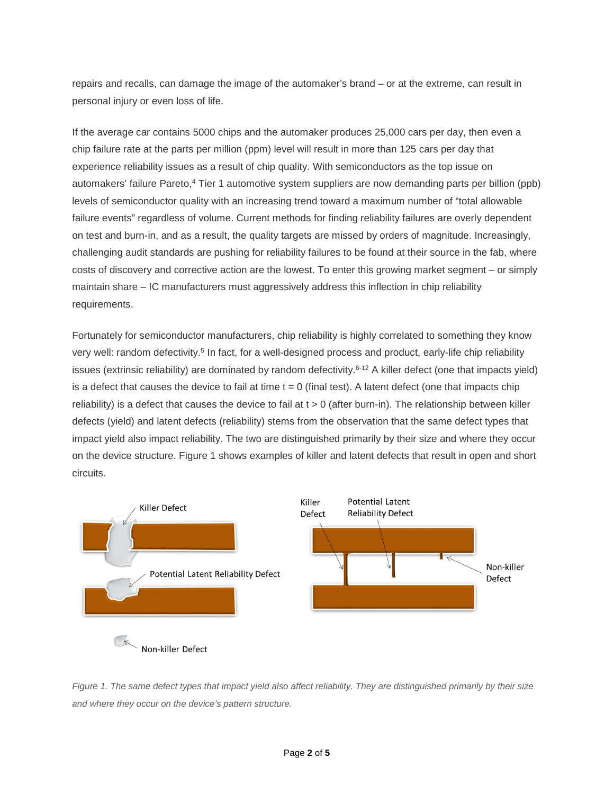repairs and recalls, can damage the image of the automaker's brand – or at the extreme, can result in personal injury or even loss of life.

If the average car contains 5000 chips and the automaker produces 25,000 cars per day, then even a chip failure rate at the parts per million (ppm) level will result in more than 125 cars per day that experience reliability issues as a result of chip quality. With semiconductors as the top issue on automakers' failure Pareto,4 Tier 1 automotive system suppliers are now demanding parts per billion (ppb) levels of semiconductor quality with an increasing trend toward a maximum number of "total allowable failure events" regardless of volume. Current methods for finding reliability failures are overly dependent on test and burn-in, and as a result, the quality targets are missed by orders of magnitude. Increasingly, challenging audit standards are pushing for reliability failures to be found at their source in the fab, where costs of discovery and corrective action are the lowest. To enter this growing market segment – or simply maintain share – IC manufacturers must aggressively address this inflection in chip reliability requirements.

Fortunately for semiconductor manufacturers, chip reliability is highly correlated to something they know very well: random defectivity.<sup>5</sup> In fact, for a well-designed process and product, early-life chip reliability issues (extrinsic reliability) are dominated by random defectivity.<sup>6-12</sup> A killer defect (one that impacts yield) is a defect that causes the device to fail at time  $t = 0$  (final test). A latent defect (one that impacts chip reliability) is a defect that causes the device to fail at  $t > 0$  (after burn-in). The relationship between killer defects (yield) and latent defects (reliability) stems from the observation that the same defect types that impact yield also impact reliability. The two are distinguished primarily by their size and where they occur on the device structure. Figure 1 shows examples of killer and latent defects that result in open and short circuits.



*Figure 1. The same defect types that impact yield also affect reliability. They are distinguished primarily by their size and where they occur on the device's pattern structure.*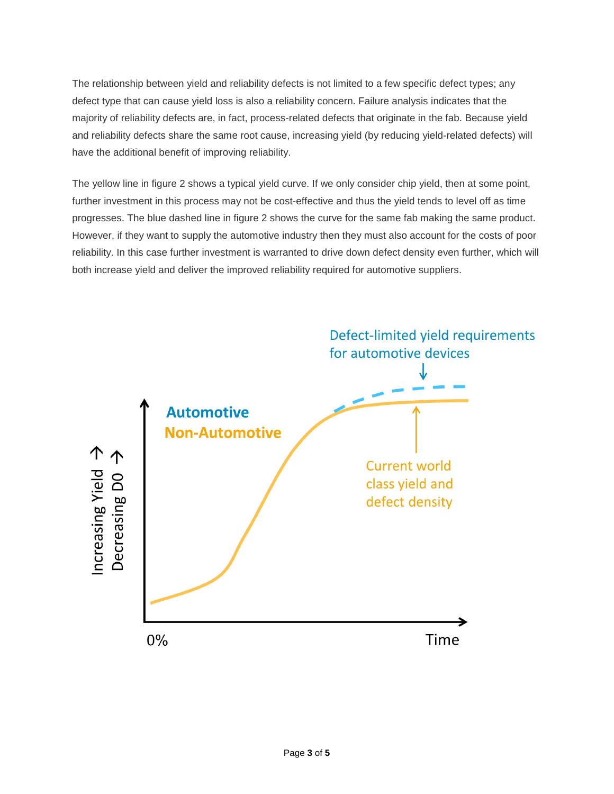The relationship between yield and reliability defects is not limited to a few specific defect types; any defect type that can cause yield loss is also a reliability concern. Failure analysis indicates that the majority of reliability defects are, in fact, process-related defects that originate in the fab. Because yield and reliability defects share the same root cause, increasing yield (by reducing yield-related defects) will have the additional benefit of improving reliability.

The yellow line in figure 2 shows a typical yield curve. If we only consider chip yield, then at some point, further investment in this process may not be cost-effective and thus the yield tends to level off as time progresses. The blue dashed line in figure 2 shows the curve for the same fab making the same product. However, if they want to supply the automotive industry then they must also account for the costs of poor reliability. In this case further investment is warranted to drive down defect density even further, which will both increase yield and deliver the improved reliability required for automotive suppliers.

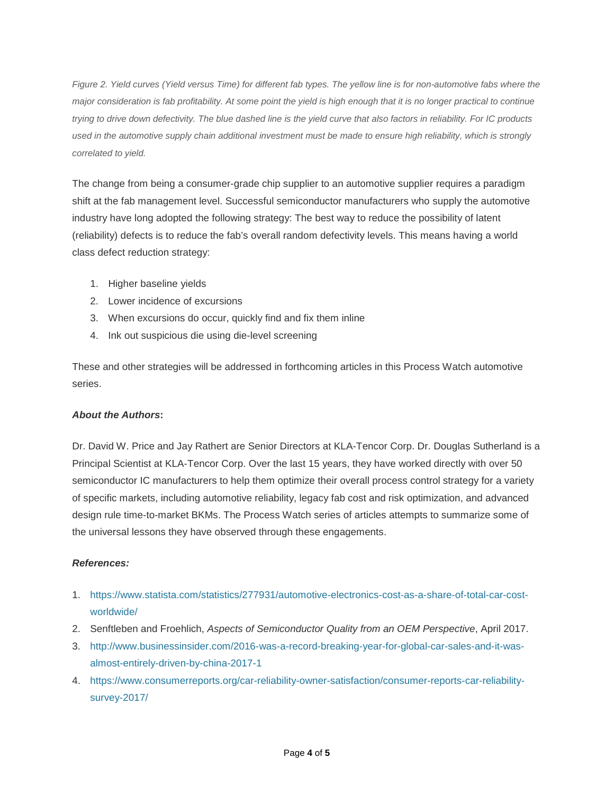*Figure 2. Yield curves (Yield versus Time) for different fab types. The yellow line is for non-automotive fabs where the major consideration is fab profitability. At some point the yield is high enough that it is no longer practical to continue trying to drive down defectivity. The blue dashed line is the yield curve that also factors in reliability. For IC products used in the automotive supply chain additional investment must be made to ensure high reliability, which is strongly correlated to yield.*

The change from being a consumer-grade chip supplier to an automotive supplier requires a paradigm shift at the fab management level. Successful semiconductor manufacturers who supply the automotive industry have long adopted the following strategy: The best way to reduce the possibility of latent (reliability) defects is to reduce the fab's overall random defectivity levels. This means having a world class defect reduction strategy:

- 1. Higher baseline yields
- 2. Lower incidence of excursions
- 3. When excursions do occur, quickly find and fix them inline
- 4. Ink out suspicious die using die-level screening

These and other strategies will be addressed in forthcoming articles in this Process Watch automotive series.

## *About the Authors***:**

Dr. David W. Price and Jay Rathert are Senior Directors at KLA-Tencor Corp. Dr. Douglas Sutherland is a Principal Scientist at KLA-Tencor Corp. Over the last 15 years, they have worked directly with over 50 semiconductor IC manufacturers to help them optimize their overall process control strategy for a variety of specific markets, including automotive reliability, legacy fab cost and risk optimization, and advanced design rule time-to-market BKMs. The Process Watch series of articles attempts to summarize some of the universal lessons they have observed through these engagements.

## *References:*

- 1. [https://www.statista.com/statistics/277931/automotive-electronics-cost-as-a-share-of-total-car-cost](https://www.statista.com/statistics/277931/automotive-electronics-cost-as-a-share-of-total-car-cost-worldwide/)[worldwide/](https://www.statista.com/statistics/277931/automotive-electronics-cost-as-a-share-of-total-car-cost-worldwide/)
- 2. Senftleben and Froehlich, *Aspects of Semiconductor Quality from an OEM Perspective*, April 2017.
- 3. [http://www.businessinsider.com/2016-was-a-record-breaking-year-for-global-car-sales-and-it-was](http://www.businessinsider.com/2016-was-a-record-breaking-year-for-global-car-sales-and-it-was-almost-entirely-driven-by-china-2017-1)[almost-entirely-driven-by-china-2017-1](http://www.businessinsider.com/2016-was-a-record-breaking-year-for-global-car-sales-and-it-was-almost-entirely-driven-by-china-2017-1)
- 4. [https://www.consumerreports.org/car-reliability-owner-satisfaction/consumer-reports-car-reliability](https://www.consumerreports.org/car-reliability-owner-satisfaction/consumer-reports-car-reliability-survey-2017/)[survey-2017/](https://www.consumerreports.org/car-reliability-owner-satisfaction/consumer-reports-car-reliability-survey-2017/)